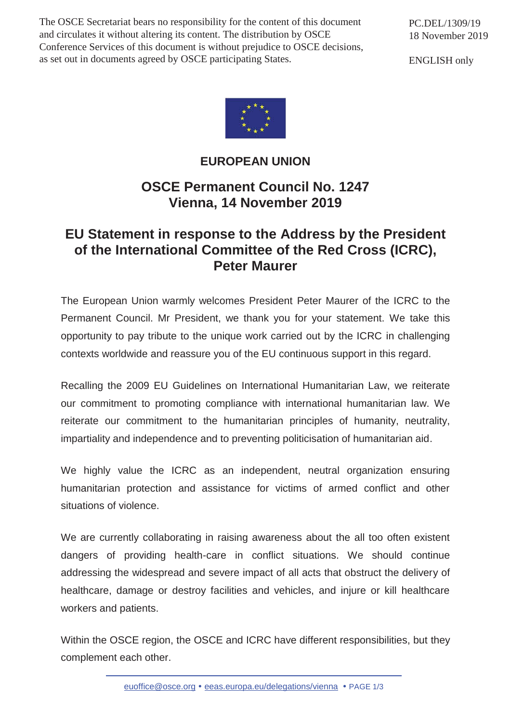The OSCE Secretariat bears no responsibility for the content of this document and circulates it without altering its content. The distribution by OSCE Conference Services of this document is without prejudice to OSCE decisions, as set out in documents agreed by OSCE participating States.

PC.DEL/1309/19 18 November 2019

ENGLISH only



## **EUROPEAN UNION**

## **OSCE Permanent Council No. 1247 Vienna, 14 November 2019**

## **EU Statement in response to the Address by the President of the International Committee of the Red Cross (ICRC), Peter Maurer**

The European Union warmly welcomes President Peter Maurer of the ICRC to the Permanent Council. Mr President, we thank you for your statement. We take this opportunity to pay tribute to the unique work carried out by the ICRC in challenging contexts worldwide and reassure you of the EU continuous support in this regard.

Recalling the 2009 EU Guidelines on International Humanitarian Law, we reiterate our commitment to promoting compliance with international humanitarian law. We reiterate our commitment to the humanitarian principles of humanity, neutrality, impartiality and independence and to preventing politicisation of humanitarian aid.

We highly value the ICRC as an independent, neutral organization ensuring humanitarian protection and assistance for victims of armed conflict and other situations of violence.

We are currently collaborating in raising awareness about the all too often existent dangers of providing health-care in conflict situations. We should continue addressing the widespread and severe impact of all acts that obstruct the delivery of healthcare, damage or destroy facilities and vehicles, and injure or kill healthcare workers and patients.

Within the OSCE region, the OSCE and ICRC have different responsibilities, but they complement each other.

euoffice@osce.org • eeas.europa.eu/delegations/vienna • PAGE 1/3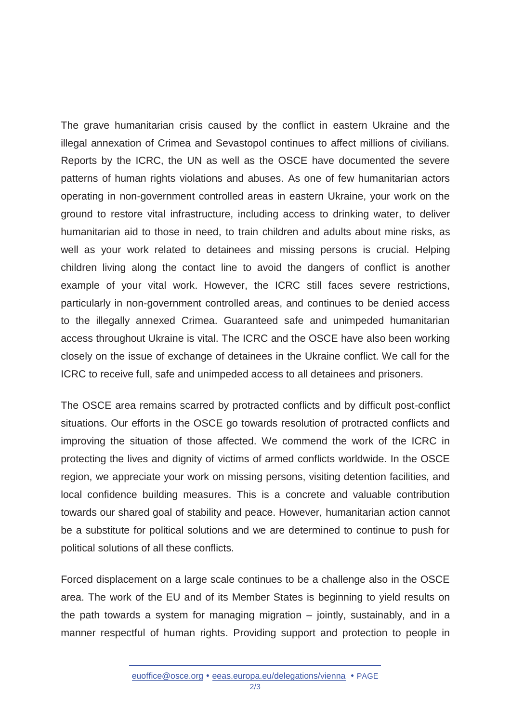The grave humanitarian crisis caused by the conflict in eastern Ukraine and the illegal annexation of Crimea and Sevastopol continues to affect millions of civilians. Reports by the ICRC, the UN as well as the OSCE have documented the severe patterns of human rights violations and abuses. As one of few humanitarian actors operating in non-government controlled areas in eastern Ukraine, your work on the ground to restore vital infrastructure, including access to drinking water, to deliver humanitarian aid to those in need, to train children and adults about mine risks, as well as your work related to detainees and missing persons is crucial. Helping children living along the contact line to avoid the dangers of conflict is another example of your vital work. However, the ICRC still faces severe restrictions, particularly in non-government controlled areas, and continues to be denied access to the illegally annexed Crimea. Guaranteed safe and unimpeded humanitarian access throughout Ukraine is vital. The ICRC and the OSCE have also been working closely on the issue of exchange of detainees in the Ukraine conflict. We call for the ICRC to receive full, safe and unimpeded access to all detainees and prisoners.

The OSCE area remains scarred by protracted conflicts and by difficult post-conflict situations. Our efforts in the OSCE go towards resolution of protracted conflicts and improving the situation of those affected. We commend the work of the ICRC in protecting the lives and dignity of victims of armed conflicts worldwide. In the OSCE region, we appreciate your work on missing persons, visiting detention facilities, and local confidence building measures. This is a concrete and valuable contribution towards our shared goal of stability and peace. However, humanitarian action cannot be a substitute for political solutions and we are determined to continue to push for political solutions of all these conflicts.

Forced displacement on a large scale continues to be a challenge also in the OSCE area. The work of the EU and of its Member States is beginning to yield results on the path towards a system for managing migration – jointly, sustainably, and in a manner respectful of human rights. Providing support and protection to people in